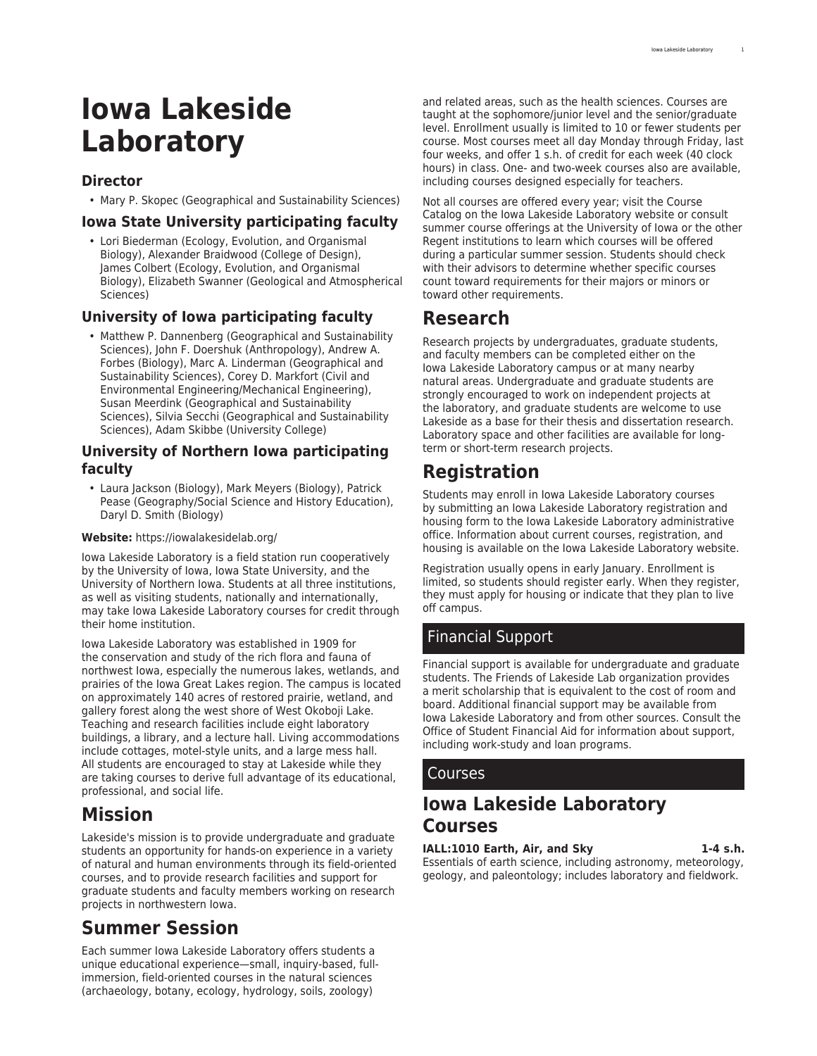# **Iowa Lakeside Laboratory**

### **Director**

• Mary P. Skopec (Geographical and Sustainability Sciences)

### **Iowa State University participating faculty**

• Lori Biederman (Ecology, Evolution, and Organismal Biology), Alexander Braidwood (College of Design), James Colbert (Ecology, Evolution, and Organismal Biology), Elizabeth Swanner (Geological and Atmospherical Sciences)

### **University of Iowa participating faculty**

• Matthew P. Dannenberg (Geographical and Sustainability Sciences), John F. Doershuk (Anthropology), Andrew A. Forbes (Biology), Marc A. Linderman (Geographical and Sustainability Sciences), Corey D. Markfort (Civil and Environmental Engineering/Mechanical Engineering), Susan Meerdink (Geographical and Sustainability Sciences), Silvia Secchi (Geographical and Sustainability Sciences), Adam Skibbe (University College)

### **University of Northern Iowa participating faculty**

• Laura Jackson (Biology), Mark Meyers (Biology), Patrick Pease (Geography/Social Science and History Education), Daryl D. Smith (Biology)

### **Website:** <https://iowalakesidelab.org/>

Iowa Lakeside Laboratory is a field station run cooperatively by the University of Iowa, Iowa State University, and the University of Northern Iowa. Students at all three institutions, as well as visiting students, nationally and internationally, may take Iowa Lakeside Laboratory courses for credit through their home institution.

Iowa Lakeside Laboratory was established in 1909 for the conservation and study of the rich flora and fauna of northwest Iowa, especially the numerous lakes, wetlands, and prairies of the Iowa Great Lakes region. The campus is located on approximately 140 acres of restored prairie, wetland, and gallery forest along the west shore of West Okoboji Lake. Teaching and research facilities include eight laboratory buildings, a library, and a lecture hall. Living accommodations include cottages, motel-style units, and a large mess hall. All students are encouraged to stay at Lakeside while they are taking courses to derive full advantage of its educational, professional, and social life.

# **Mission**

Lakeside's mission is to provide undergraduate and graduate students an opportunity for hands-on experience in a variety of natural and human environments through its field-oriented courses, and to provide research facilities and support for graduate students and faculty members working on research projects in northwestern Iowa.

# **Summer Session**

Each summer Iowa Lakeside Laboratory offers students a unique educational experience—small, inquiry-based, fullimmersion, field-oriented courses in the natural sciences (archaeology, botany, ecology, hydrology, soils, zoology)

and related areas, such as the health sciences. Courses are taught at the sophomore/junior level and the senior/graduate level. Enrollment usually is limited to 10 or fewer students per course. Most courses meet all day Monday through Friday, last four weeks, and offer 1 s.h. of credit for each week (40 clock hours) in class. One- and two-week courses also are available, including courses designed especially for teachers.

Not all courses are offered every year; visit the [Course](https://iowalakesidelab.org/courses/) [Catalog](https://iowalakesidelab.org/courses/) on the Iowa Lakeside Laboratory website or consult summer course offerings at the University of Iowa or the other Regent institutions to learn which courses will be offered during a particular summer session. Students should check with their advisors to determine whether specific courses count toward requirements for their majors or minors or toward other requirements.

# **Research**

Research projects by undergraduates, graduate students, and faculty members can be completed either on the Iowa Lakeside Laboratory campus or at many nearby natural areas. Undergraduate and graduate students are strongly encouraged to work on independent projects at the laboratory, and graduate students are welcome to use Lakeside as a base for their thesis and dissertation research. Laboratory space and other facilities are available for longterm or short-term research projects.

# **Registration**

Students may enroll in Iowa Lakeside Laboratory courses by submitting an Iowa Lakeside Laboratory registration and housing form to the Iowa Lakeside Laboratory administrative office. Information about current courses, registration, and housing is available on the [Iowa Lakeside Laboratory](https://iowalakesidelab.org/) website.

Registration usually opens in early January. Enrollment is limited, so students should register early. When they register, they must apply for housing or indicate that they plan to live off campus.

# Financial Support

Financial support is available for undergraduate and graduate students. The Friends of Lakeside Lab organization provides a merit [scholarship](https://iowalakesidelab.org/student-resources/) that is equivalent to the cost of room and board. Additional financial support may be available from Iowa Lakeside Laboratory and from other sources. Consult the [Office of Student Financial Aid](https://financialaid.uiowa.edu/) for information about support, including work-study and loan programs.

## Courses

# **Iowa Lakeside Laboratory Courses**

**IALL:1010 Earth, Air, and Sky 1-4 s.h.** Essentials of earth science, including astronomy, meteorology, geology, and paleontology; includes laboratory and fieldwork.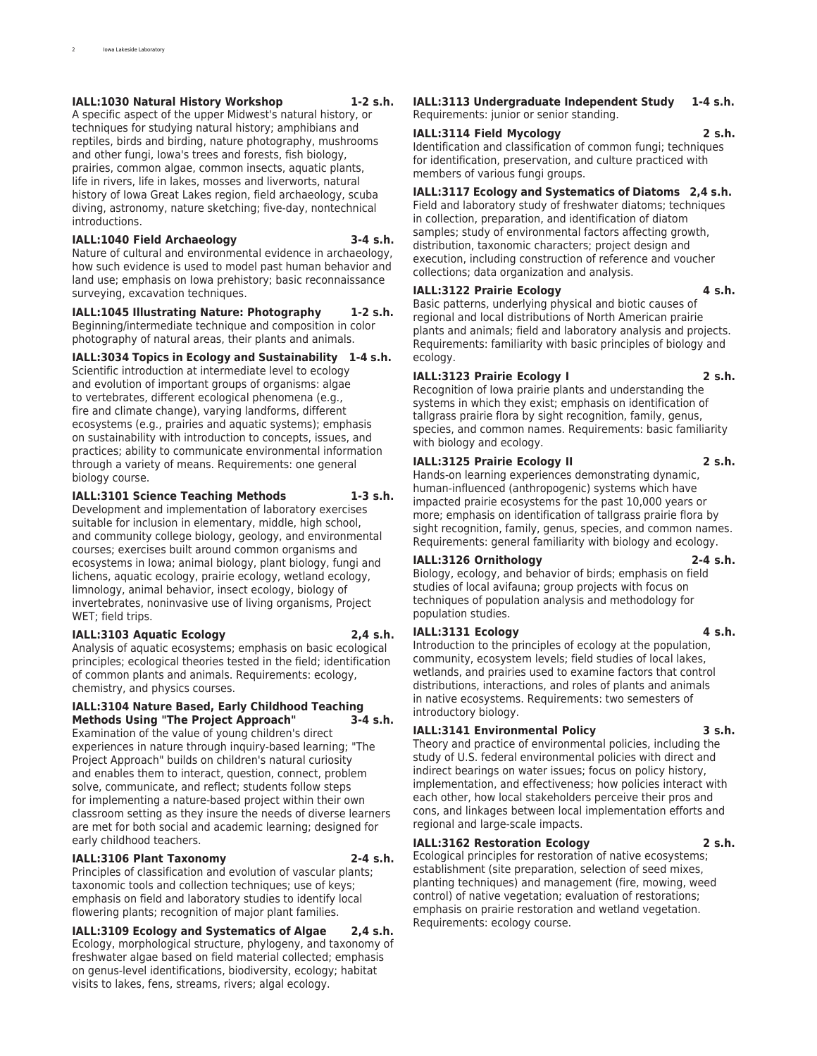#### **IALL:1030 Natural History Workshop 1-2 s.h.**

A specific aspect of the upper Midwest's natural history, or techniques for studying natural history; amphibians and reptiles, birds and birding, nature photography, mushrooms and other fungi, Iowa's trees and forests, fish biology, prairies, common algae, common insects, aquatic plants, life in rivers, life in lakes, mosses and liverworts, natural history of Iowa Great Lakes region, field archaeology, scuba diving, astronomy, nature sketching; five-day, nontechnical introductions.

#### **IALL:1040 Field Archaeology 3-4 s.h.**

Nature of cultural and environmental evidence in archaeology, how such evidence is used to model past human behavior and land use; emphasis on Iowa prehistory; basic reconnaissance surveying, excavation techniques.

**IALL:1045 Illustrating Nature: Photography 1-2 s.h.** Beginning/intermediate technique and composition in color photography of natural areas, their plants and animals.

**IALL:3034 Topics in Ecology and Sustainability 1-4 s.h.** Scientific introduction at intermediate level to ecology and evolution of important groups of organisms: algae to vertebrates, different ecological phenomena (e.g., fire and climate change), varying landforms, different ecosystems (e.g., prairies and aquatic systems); emphasis on sustainability with introduction to concepts, issues, and practices; ability to communicate environmental information through a variety of means. Requirements: one general biology course.

#### **IALL:3101 Science Teaching Methods 1-3 s.h.**

Development and implementation of laboratory exercises suitable for inclusion in elementary, middle, high school, and community college biology, geology, and environmental courses; exercises built around common organisms and ecosystems in Iowa; animal biology, plant biology, fungi and lichens, aquatic ecology, prairie ecology, wetland ecology, limnology, animal behavior, insect ecology, biology of invertebrates, noninvasive use of living organisms, Project WET; field trips.

#### **IALL:3103 Aquatic Ecology 2,4 s.h.**

Analysis of aquatic ecosystems; emphasis on basic ecological principles; ecological theories tested in the field; identification of common plants and animals. Requirements: ecology, chemistry, and physics courses.

#### **IALL:3104 Nature Based, Early Childhood Teaching Methods Using "The Project Approach" 3-4 s.h.**

Examination of the value of young children's direct experiences in nature through inquiry-based learning; "The Project Approach" builds on children's natural curiosity and enables them to interact, question, connect, problem solve, communicate, and reflect; students follow steps for implementing a nature-based project within their own classroom setting as they insure the needs of diverse learners are met for both social and academic learning; designed for early childhood teachers.

#### **IALL:3106 Plant Taxonomy 2-4 s.h.**

Principles of classification and evolution of vascular plants; taxonomic tools and collection techniques; use of keys; emphasis on field and laboratory studies to identify local flowering plants; recognition of major plant families.

**IALL:3109 Ecology and Systematics of Algae 2,4 s.h.** Ecology, morphological structure, phylogeny, and taxonomy of freshwater algae based on field material collected; emphasis on genus-level identifications, biodiversity, ecology; habitat visits to lakes, fens, streams, rivers; algal ecology.

**IALL:3113 Undergraduate Independent Study 1-4 s.h.** Requirements: junior or senior standing.

#### **IALL:3114 Field Mycology 2 s.h.**

Identification and classification of common fungi; techniques for identification, preservation, and culture practiced with members of various fungi groups.

#### **IALL:3117 Ecology and Systematics of Diatoms 2,4 s.h.**

Field and laboratory study of freshwater diatoms; techniques in collection, preparation, and identification of diatom samples; study of environmental factors affecting growth, distribution, taxonomic characters; project design and execution, including construction of reference and voucher collections; data organization and analysis.

#### **IALL:3122 Prairie Ecology 4 s.h.**

Basic patterns, underlying physical and biotic causes of regional and local distributions of North American prairie plants and animals; field and laboratory analysis and projects. Requirements: familiarity with basic principles of biology and ecology.

#### **IALL:3123 Prairie Ecology I 2 s.h.**

Recognition of Iowa prairie plants and understanding the systems in which they exist; emphasis on identification of tallgrass prairie flora by sight recognition, family, genus, species, and common names. Requirements: basic familiarity with biology and ecology.

#### **IALL:3125 Prairie Ecology II 2 s.h.**

Hands-on learning experiences demonstrating dynamic, human-influenced (anthropogenic) systems which have impacted prairie ecosystems for the past 10,000 years or more; emphasis on identification of tallgrass prairie flora by sight recognition, family, genus, species, and common names. Requirements: general familiarity with biology and ecology.

#### **IALL:3126 Ornithology 2-4 s.h.**

Biology, ecology, and behavior of birds; emphasis on field studies of local avifauna; group projects with focus on techniques of population analysis and methodology for population studies.

### **IALL:3131 Ecology 4 s.h.**

Introduction to the principles of ecology at the population, community, ecosystem levels; field studies of local lakes, wetlands, and prairies used to examine factors that control distributions, interactions, and roles of plants and animals in native ecosystems. Requirements: two semesters of introductory biology.

#### **IALL:3141 Environmental Policy 3 s.h.**

Theory and practice of environmental policies, including the study of U.S. federal environmental policies with direct and indirect bearings on water issues; focus on policy history, implementation, and effectiveness; how policies interact with each other, how local stakeholders perceive their pros and cons, and linkages between local implementation efforts and regional and large-scale impacts.

### **IALL:3162 Restoration Ecology 2 s.h.**

Ecological principles for restoration of native ecosystems; establishment (site preparation, selection of seed mixes, planting techniques) and management (fire, mowing, weed control) of native vegetation; evaluation of restorations; emphasis on prairie restoration and wetland vegetation. Requirements: ecology course.